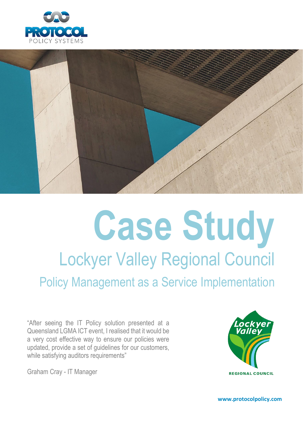



# **Case Study** Lockyer Valley Regional Council Policy Management as a Service Implementation

"After seeing the IT Policy solution presented at a Queensland LGMA ICT event, I realised that it would be a very cost effective way to ensure our policies were updated, provide a set of guidelines for our customers, while satisfying auditors requirements"

Graham Cray - IT Manager



**www.protocolpolicy.com**